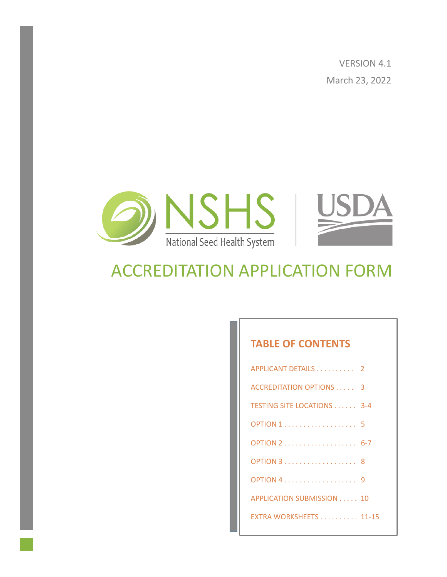VERSION 4.1 March 23, 2022



# ACCREDITATION APPLICATION FORM

#### **TABLE OF CONTENTS**

| APPLICANT DETAILS 2             |  |
|---------------------------------|--|
| <b>ACCREDITATION OPTIONS  3</b> |  |
| TESTING SITE LOCATIONS 3-4      |  |
|                                 |  |
|                                 |  |
|                                 |  |
|                                 |  |
| APPLICATION SUBMISSION 10       |  |
| EXTRA WORKSHEETS 11-15          |  |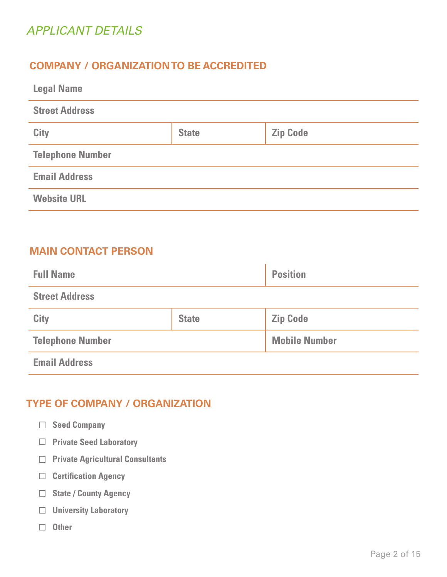### *APPLICANT DETAILS*

### **COMPANY / ORGANIZATION TO BE ACCREDITED**

| <b>Legal Name</b>       |              |                 |  |
|-------------------------|--------------|-----------------|--|
| <b>Street Address</b>   |              |                 |  |
| <b>City</b>             | <b>State</b> | <b>Zip Code</b> |  |
| <b>Telephone Number</b> |              |                 |  |
| <b>Email Address</b>    |              |                 |  |
| <b>Website URL</b>      |              |                 |  |

### **MAIN CONTACT PERSON**

| <b>Full Name</b>        |              | <b>Position</b>      |
|-------------------------|--------------|----------------------|
| <b>Street Address</b>   |              |                      |
| City                    | <b>State</b> | <b>Zip Code</b>      |
| <b>Telephone Number</b> |              | <b>Mobile Number</b> |
| <b>Email Address</b>    |              |                      |

#### **TYPE OF COMPANY / ORGANIZATION**

- **Seed Company**
- **Private Seed Laboratory**
- **Private Agricultural Consultants**
- **Certification Agency**
- **State / County Agency**
- **University Laboratory**
- **Other**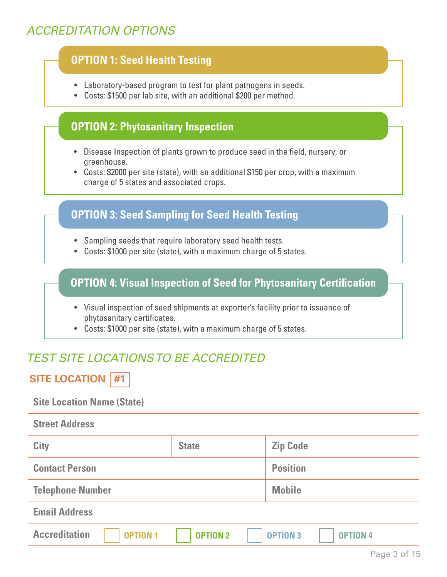### *ACCREDITATION OPTIONS*

### **OPTION 1: Seed Health Testing**

- Laboratory-based program to test for plant pathogens in seeds.
- Costs: \$1500 per lab site, with an additional \$200 per method.

#### **OPTION 2: Phytosanitary Inspection**

- Disease Inspection of plants grown to produce seed in the field, nursery, or greenhouse.
- Costs: \$2000 per site (state), with an additional \$150 per crop, with a maximum charge of 5 states and associated crops.

#### **OPTION 3: Seed Sampling for Seed Health Testing**

- Sampling seeds that require laboratory seed health tests.
- Costs: \$1000 per site (state), with a maximum charge of 5 states.

### **OPTION 4: Visual Inspection of Seed for Phytosanitary Certification**

- Visual inspection of seed shipments at exporter's facility prior to issuance of phytosanitary certificates.
- Costs: \$1000 per site (state), with a maximum charge of 5 states.

### *TEST SITE LOCATIONS TO BE ACCREDITED*

### **SITE LOCATION #1**

#### **Site Location Name (State)**

| <b>Street Address</b>                   |                 |                                    |
|-----------------------------------------|-----------------|------------------------------------|
| City                                    | <b>State</b>    | <b>Zip Code</b>                    |
| <b>Contact Person</b>                   |                 | <b>Position</b>                    |
| <b>Telephone Number</b>                 |                 | <b>Mobile</b>                      |
| <b>Email Address</b>                    |                 |                                    |
| <b>Accreditation</b><br><b>OPTION 1</b> | <b>OPTION 2</b> | <b>OPTION 3</b><br><b>OPTION 4</b> |
|                                         |                 |                                    |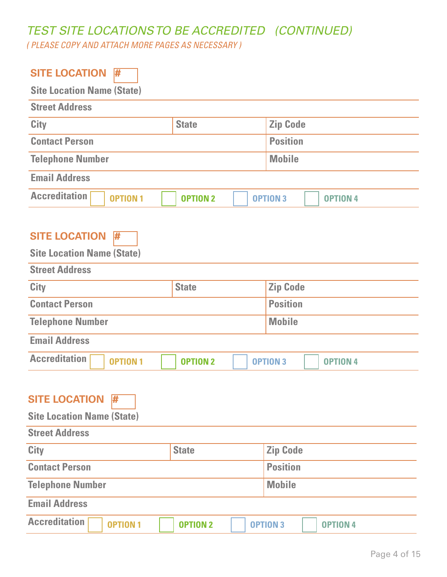# *TEST SITE LOCATIONS TO BE ACCREDITED (CONTINUED)*

*( PLEASE COPY AND ATTACH MORE PAGES AS NECESSARY )*

| <b>SITE LOCATION</b><br>#               |                 |                                    |  |
|-----------------------------------------|-----------------|------------------------------------|--|
| <b>Site Location Name (State)</b>       |                 |                                    |  |
| <b>Street Address</b>                   |                 |                                    |  |
| <b>City</b>                             | <b>State</b>    | <b>Zip Code</b>                    |  |
| <b>Contact Person</b>                   |                 | <b>Position</b>                    |  |
| <b>Telephone Number</b>                 |                 | <b>Mobile</b>                      |  |
| <b>Email Address</b>                    |                 |                                    |  |
| <b>Accreditation</b><br><b>OPTION1</b>  | <b>OPTION 2</b> | <b>OPTION 3</b><br><b>OPTION 4</b> |  |
| <b>SITE LOCATION</b><br>#               |                 |                                    |  |
| <b>Site Location Name (State)</b>       |                 |                                    |  |
| <b>Street Address</b>                   |                 |                                    |  |
| City                                    | <b>State</b>    | <b>Zip Code</b>                    |  |
| <b>Contact Person</b>                   |                 | <b>Position</b>                    |  |
| <b>Telephone Number</b>                 |                 | <b>Mobile</b>                      |  |
| <b>Email Address</b>                    |                 |                                    |  |
| <b>Accreditation</b><br><b>OPTION 1</b> | <b>OPTION 2</b> | <b>OPTION 3</b><br><b>OPTION 4</b> |  |
|                                         |                 |                                    |  |
| <b>SITE LOCATION</b><br>₩               |                 |                                    |  |
| <b>Site Location Name (State)</b>       |                 |                                    |  |
| <b>Street Address</b>                   |                 |                                    |  |
| City                                    | <b>State</b>    | <b>Zip Code</b>                    |  |
| <b>Contact Person</b>                   |                 | <b>Position</b>                    |  |
| <b>Telephone Number</b>                 |                 | <b>Mobile</b>                      |  |
| <b>Email Address</b>                    |                 |                                    |  |
| <b>Accreditation</b><br><b>OPTION 1</b> | <b>OPTION 2</b> | <b>OPTION 3</b><br><b>OPTION 4</b> |  |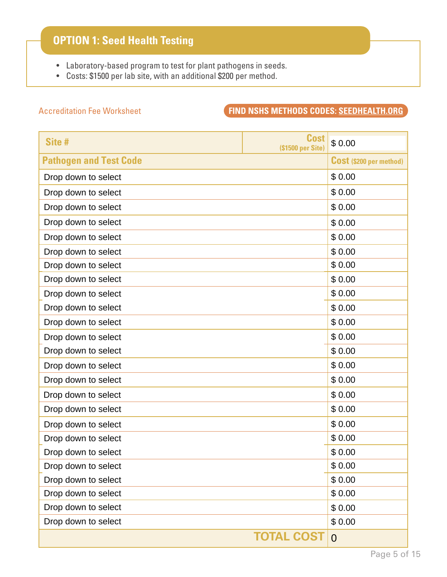### **OPTION 1: Seed Health Testing**

- Laboratory-based program to test for plant pathogens in seeds.
- Costs: \$1500 per lab site, with an additional \$200 per method.

### Accreditation Fee Worksheet **FIND NSHS METHODS CODES: SEEDHEALTH.ORG**

| Site #                        | <b>Cost</b><br>(\$1500 per Site) | \$0.00                         |
|-------------------------------|----------------------------------|--------------------------------|
| <b>Pathogen and Test Code</b> |                                  | <b>Cost (\$200 per method)</b> |
| Drop down to select           |                                  | \$0.00                         |
| Drop down to select           |                                  | \$0.00                         |
| Drop down to select           |                                  | \$0.00                         |
| Drop down to select           |                                  | \$0.00                         |
| Drop down to select           |                                  | \$0.00                         |
| Drop down to select           |                                  | \$0.00                         |
| Drop down to select           |                                  | \$0.00                         |
| Drop down to select           |                                  | \$0.00                         |
| Drop down to select           |                                  | \$0.00                         |
| Drop down to select           |                                  | \$0.00                         |
| Drop down to select           |                                  | \$0.00                         |
| Drop down to select           |                                  | \$0.00                         |
| Drop down to select           |                                  | \$0.00                         |
| Drop down to select           |                                  | \$0.00                         |
| Drop down to select           |                                  | \$0.00                         |
| Drop down to select           |                                  | \$0.00                         |
| Drop down to select           |                                  | \$0.00                         |
| Drop down to select           |                                  | \$0.00                         |
| Drop down to select           |                                  | \$0.00                         |
| Drop down to select           |                                  | \$0.00                         |
| Drop down to select           |                                  | \$0.00                         |
| Drop down to select           |                                  | \$0.00                         |
| Drop down to select           |                                  | \$0.00                         |
| Drop down to select           |                                  | \$0.00                         |
| Drop down to select           |                                  | \$0.00                         |
|                               | <b>TOTAL COST</b>                | $\overline{0}$                 |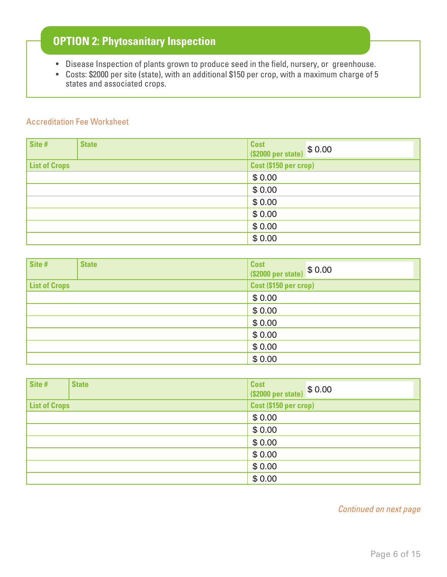### **OPTION 2: Phytosanitary Inspection**

- Disease Inspection of plants grown to produce seed in the field, nursery, or greenhouse.
- Costs: \$2000 per site (state), with an additional \$150 per crop, with a maximum charge of 5 states and associated crops.

#### Accreditation Fee Worksheet

| Site #               | <b>State</b> | <b>Cost</b><br>(\$2000 per state) \$ 0.00 |
|----------------------|--------------|-------------------------------------------|
| <b>List of Crops</b> |              | Cost (\$150 per crop)                     |
|                      |              | \$0.00                                    |
|                      |              | \$0.00                                    |
|                      |              | \$0.00                                    |
|                      |              | \$0.00                                    |
|                      |              | \$0.00                                    |
|                      |              | \$0.00                                    |

| Site #               | <b>State</b> | <b>Cost</b><br>(\$2000 per state) \$ 0.00 |
|----------------------|--------------|-------------------------------------------|
| <b>List of Crops</b> |              | Cost (\$150 per crop)                     |
|                      |              | \$0.00                                    |
|                      |              | \$0.00                                    |
|                      |              | \$0.00                                    |
|                      |              | \$0.00                                    |
|                      |              | \$0.00                                    |
|                      |              | \$0.00                                    |

| Site #               | <b>State</b> | <b>Cost</b><br>(\$2000 per state) \$ 0.00 |
|----------------------|--------------|-------------------------------------------|
| <b>List of Crops</b> |              | Cost (\$150 per crop)                     |
|                      |              | \$0.00                                    |
|                      |              | \$0.00                                    |
|                      |              | \$0.00                                    |
|                      |              | \$0.00                                    |
|                      |              | \$0.00                                    |
|                      |              | \$0.00                                    |

*Continued on next page*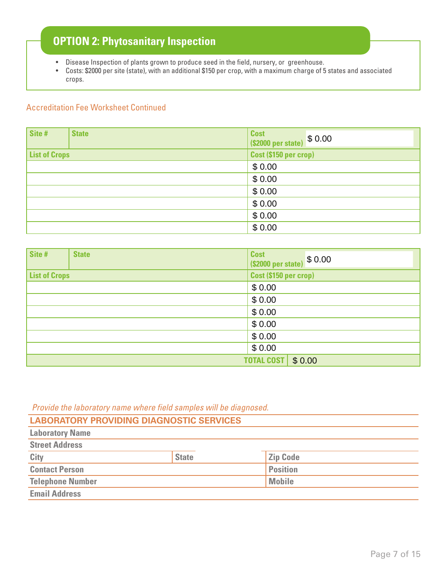### **OPTION 2: Phytosanitary Inspection**

- Disease Inspection of plants grown to produce seed in the field, nursery, or greenhouse.
- Costs: \$2000 per site (state), with an additional \$150 per crop, with a maximum charge of 5 states and associated crops.

#### Accreditation Fee Worksheet Continued

| Site #               | <b>State</b> | <b>Cost</b><br>(\$2000 per state) \$ 0.00 |
|----------------------|--------------|-------------------------------------------|
| <b>List of Crops</b> |              | Cost (\$150 per crop)                     |
|                      |              | \$0.00                                    |
|                      |              | \$0.00                                    |
|                      |              | \$0.00                                    |
|                      |              | \$0.00                                    |
|                      |              | \$0.00                                    |
|                      |              | \$0.00                                    |

| Site #               | <b>State</b> | Cost<br>(\$2000 per state) \$ 0.00 |
|----------------------|--------------|------------------------------------|
| <b>List of Crops</b> |              | Cost (\$150 per crop)              |
|                      |              | \$0.00                             |
|                      |              | \$0.00                             |
|                      |              | \$0.00                             |
|                      |              | \$0.00                             |
|                      |              | \$0.00                             |
|                      |              | \$0.00                             |
|                      |              | <b>TOTAL COST</b><br>\$0.00        |

Provide the laboratory name where field samples will be diagnosed.

| <b>LABORATORY PROVIDING DIAGNOSTIC SERVICES</b> |              |                 |
|-------------------------------------------------|--------------|-----------------|
| <b>Laboratory Name</b>                          |              |                 |
| <b>Street Address</b>                           |              |                 |
| City                                            | <b>State</b> | <b>Zip Code</b> |
| <b>Contact Person</b>                           |              | <b>Position</b> |
| <b>Telephone Number</b>                         |              | <b>Mobile</b>   |
| <b>Email Address</b>                            |              |                 |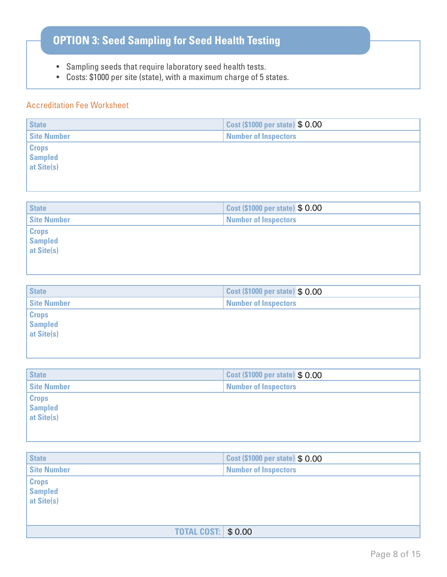## **OPTION 3: Seed Sampling for Seed Health Testing**

- Sampling seeds that require laboratory seed health tests.
- Costs: \$1000 per site (state), with a maximum charge of 5 states.

#### Accreditation Fee Worksheet

| <b>State</b>       | Cost (\$1000 per state) \$ 0.00 |  |
|--------------------|---------------------------------|--|
| <b>Site Number</b> | <b>Number of Inspectors</b>     |  |
| <b>Crops</b>       |                                 |  |
| <b>Sampled</b>     |                                 |  |
| at Site(s)         |                                 |  |
|                    |                                 |  |
|                    |                                 |  |
| <b>State</b>       | Cost (\$1000 per state) \$ 0.00 |  |
|                    |                                 |  |
| <b>Site Number</b> | <b>Number of Inspectors</b>     |  |
| <b>Crops</b>       |                                 |  |
| <b>Sampled</b>     |                                 |  |
| at Site(s)         |                                 |  |
|                    |                                 |  |
|                    |                                 |  |
|                    |                                 |  |
| <b>State</b>       | Cost (\$1000 per state) \$ 0.00 |  |
| -----              |                                 |  |

| <b>vuu</b>                                        | <b>OUSE (WIDDO PUBLISTING) D</b> U.UU |
|---------------------------------------------------|---------------------------------------|
| <b>Site Number</b><br><b>Number of Inspectors</b> |                                       |
| <b>Crops</b>                                      |                                       |
| <b>Sampled</b>                                    |                                       |
| at Site(s)                                        |                                       |
|                                                   |                                       |
|                                                   |                                       |

| <b>State</b>                                 | <b>Cost (\$1000 per state) \$ 0.00</b> |
|----------------------------------------------|----------------------------------------|
| <b>Site Number</b>                           | <b>Number of Inspectors</b>            |
| <b>Crops</b><br><b>Sampled</b><br>at Site(s) |                                        |

| <b>State</b>                                 | Cost (\$1000 per state) \$ 0.00 |
|----------------------------------------------|---------------------------------|
| <b>Site Number</b>                           | <b>Number of Inspectors</b>     |
| <b>Crops</b><br><b>Sampled</b><br>at Site(s) |                                 |
| <b>TOTAL COST:   \$ 0.00</b>                 |                                 |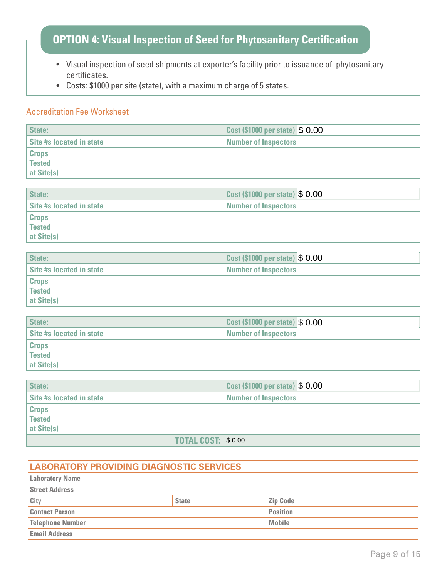### **OPTION 4: Visual Inspection of Seed for Phytosanitary Certification**

- Visual inspection of seed shipments at exporter's facility prior to issuance of phytosanitary certificates.
- Costs: \$1000 per site (state), with a maximum charge of 5 states.

#### Accreditation Fee Worksheet

| <b>State:</b>            | Cost (\$1000 per state) \$ 0.00 |  |
|--------------------------|---------------------------------|--|
| Site #s located in state | <b>Number of Inspectors</b>     |  |
| <b>Crops</b>             |                                 |  |
| Tested                   |                                 |  |
| at Site(s)               |                                 |  |

| State:                   | Cost (\$1000 per state) \$ 0.00 |  |
|--------------------------|---------------------------------|--|
| Site #s located in state | <b>Number of Inspectors</b>     |  |
| <b>Crops</b>             |                                 |  |
| <b>Tested</b>            |                                 |  |
| at Site(s)               |                                 |  |

| State:                          | <b>Cost (\$1000 per state) \$ 0.00</b> |  |
|---------------------------------|----------------------------------------|--|
| <b>Site #s located in state</b> | <b>Number of Inspectors</b>            |  |
| <b>Crops</b>                    |                                        |  |
| <sup>'</sup> Tested             |                                        |  |
| at Site(s)                      |                                        |  |

| State:                   | <b>Cost (\$1000 per state) \$ 0.00</b> |
|--------------------------|----------------------------------------|
| Site #s located in state | <b>Number of Inspectors</b>            |
| <b>Crops</b>             |                                        |
| <b>Tested</b>            |                                        |
| at Site(s)               |                                        |

| State:                          | Cost (\$1000 per state) \$ 0.00 |  |
|---------------------------------|---------------------------------|--|
| <b>Site #s located in state</b> | <b>Number of Inspectors</b>     |  |
| <b>Crops</b>                    |                                 |  |
| Tested                          |                                 |  |
| at Site(s)                      |                                 |  |
| <b>TOTAL COST: \$0.00</b>       |                                 |  |

#### **LABORATORY PROVIDING DIAGNOSTIC SERVICES**

| <b>Laboratory Name</b>  |              |                 |  |
|-------------------------|--------------|-----------------|--|
| <b>Street Address</b>   |              |                 |  |
| City                    | <b>State</b> | <b>Zip Code</b> |  |
| <b>Contact Person</b>   |              | <b>Position</b> |  |
| <b>Telephone Number</b> |              | <b>Mobile</b>   |  |
| <b>Email Address</b>    |              |                 |  |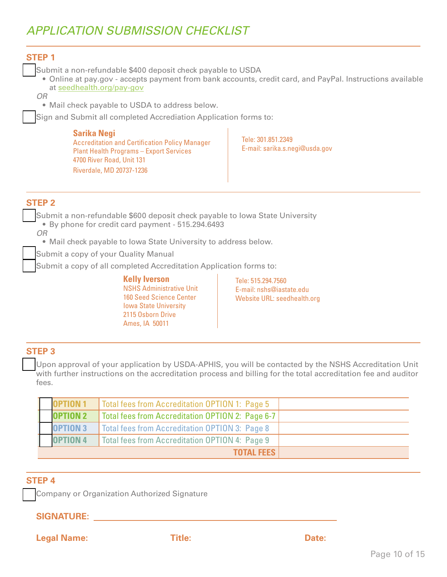### *APPLICATION SUBMISSION CHECKLIST*

#### **STEP 1**

Submit a non-refundable \$400 deposit check payable to USDA

• Online at pay.gov - accepts payment from bank accounts, credit card, and PayPal. Instructions available at [seedhealth.org/pay-gov](http://www.seedhealth.org/pay-gov)

*OR*

• Mail check payable to USDA to address below.

Sign and Submit all completed Accrediation Application forms to:

#### **Sarika Negi**

Accreditation and Certification Policy Manager Plant Health Programs – Export Services 4700 River Road, Unit 131 Riverdale, MD 20737-1236

Tele: 301.851.2349 E-mail: sarika.s.negi@usda.gov

#### **STEP 2**

Submit a non-refundable \$600 deposit check payable to Iowa State University • By phone for credit card payment - 515.294.6493

*OR*

• Mail check payable to Iowa State University to address below.

Submit a copy of your Quality Manual

Submit a copy of all completed Accreditation Application forms to:

**Kelly Iverson** NSHS Administrative Unit 160 Seed Science Center Iowa State University 2115 Osborn Drive Ames, IA 50011

Tele: 515.294.7560 E-mail: nshs@iastate.edu Website URL: seedhealth.org

#### **STEP 3**

Upon approval of your application by USDA-APHIS, you will be contacted by the NSHS Accreditation Unit with further instructions on the accreditation process and billing for the total accreditation fee and auditor fees.

| <b>OPTION 1</b> | Total fees from Accreditation OPTION 1: Page 5        |  |
|-----------------|-------------------------------------------------------|--|
| <b>OPTION 2</b> | Total fees from Accreditation OPTION 2: Page 6-7      |  |
| <b>OPTION 3</b> | <b>Total fees from Accreditation OPTION 3: Page 8</b> |  |
| <b>OPTION 4</b> | Total fees from Accreditation OPTION 4: Page 9        |  |
|                 | <b>TOTAL FEES</b>                                     |  |

#### **STEP 4**

Company or Organization Authorized Signature

#### **SIGNATURE:**

**Legal Name: Title: Date:**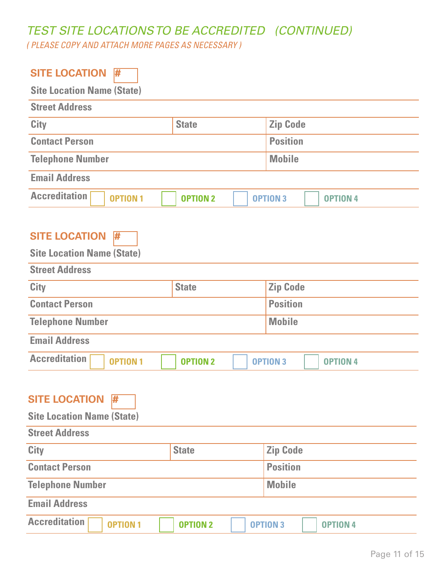# *TEST SITE LOCATIONS TO BE ACCREDITED (CONTINUED)*

*( PLEASE COPY AND ATTACH MORE PAGES AS NECESSARY )*

| <b>SITE LOCATION</b><br>#                                                                        |                 |                                    |  |
|--------------------------------------------------------------------------------------------------|-----------------|------------------------------------|--|
| <b>Site Location Name (State)</b>                                                                |                 |                                    |  |
| <b>Street Address</b>                                                                            |                 |                                    |  |
| <b>City</b>                                                                                      | <b>State</b>    | <b>Zip Code</b>                    |  |
| <b>Contact Person</b>                                                                            |                 | <b>Position</b>                    |  |
| <b>Telephone Number</b>                                                                          |                 | <b>Mobile</b>                      |  |
| <b>Email Address</b>                                                                             |                 |                                    |  |
| <b>Accreditation</b><br><b>OPTION1</b>                                                           | <b>OPTION 2</b> | <b>OPTION 3</b><br><b>OPTION 4</b> |  |
| <b>SITE LOCATION</b><br>#<br><b>Site Location Name (State)</b><br><b>Street Address</b>          |                 |                                    |  |
| City                                                                                             | <b>State</b>    | <b>Zip Code</b>                    |  |
| <b>Contact Person</b>                                                                            |                 | <b>Position</b>                    |  |
| <b>Telephone Number</b>                                                                          |                 | <b>Mobile</b>                      |  |
| <b>Email Address</b>                                                                             |                 |                                    |  |
| <b>Accreditation</b><br><b>OPTION 2</b><br><b>OPTION 1</b><br><b>OPTION 3</b><br><b>OPTION 4</b> |                 |                                    |  |
| <b>SITE LOCATION</b><br>#<br><b>Site Location Name (State)</b><br><b>Street Address</b>          |                 |                                    |  |
| City                                                                                             | <b>State</b>    | <b>Zip Code</b>                    |  |
| <b>Contact Person</b>                                                                            |                 | <b>Position</b>                    |  |
| <b>Telephone Number</b>                                                                          | <b>Mobile</b>   |                                    |  |
| <b>Email Address</b>                                                                             |                 |                                    |  |
| <b>Accreditation</b><br><b>OPTION 1</b>                                                          | <b>OPTION 2</b> | <b>OPTION 3</b><br><b>OPTION 4</b> |  |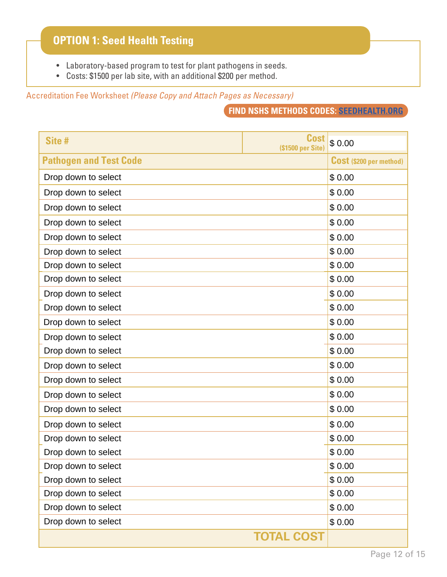### **OPTION 1: Seed Health Testing**

- Laboratory-based program to test for plant pathogens in seeds.
- Costs: \$1500 per lab site, with an additional \$200 per method.

Accreditation Fee Worksheet *(Please Copy and Attach Pages as Necessary)*

**FIND NSHS METHODS CODES: SEEDHEALTH.ORG**

| Site #                        | <b>Cost</b><br>(\$1500 per Site) | \$0.00                         |
|-------------------------------|----------------------------------|--------------------------------|
| <b>Pathogen and Test Code</b> |                                  | <b>Cost (\$200 per method)</b> |
| Drop down to select           |                                  | \$0.00                         |
| Drop down to select           |                                  | \$0.00                         |
| Drop down to select           |                                  | \$0.00                         |
| Drop down to select           |                                  | \$0.00                         |
| Drop down to select           |                                  | \$0.00                         |
| Drop down to select           |                                  | \$0.00                         |
| Drop down to select           |                                  | \$0.00                         |
| Drop down to select           |                                  | \$0.00                         |
| Drop down to select           |                                  | \$0.00                         |
| Drop down to select           |                                  | \$0.00                         |
| Drop down to select           |                                  | \$0.00                         |
| Drop down to select           |                                  | \$0.00                         |
| Drop down to select           |                                  | \$0.00                         |
| Drop down to select           |                                  | \$0.00                         |
| Drop down to select           |                                  | \$0.00                         |
| Drop down to select           |                                  | \$0.00                         |
| Drop down to select           |                                  | \$0.00                         |
| Drop down to select           |                                  | \$0.00                         |
| Drop down to select           |                                  | \$0.00                         |
| Drop down to select           |                                  | \$0.00                         |
| Drop down to select           |                                  | \$0.00                         |
| Drop down to select           |                                  | \$0.00                         |
| Drop down to select           |                                  | \$0.00                         |
| Drop down to select           |                                  | \$0.00                         |
| Drop down to select           |                                  | \$0.00                         |
|                               | <b>TOTAL COST</b>                |                                |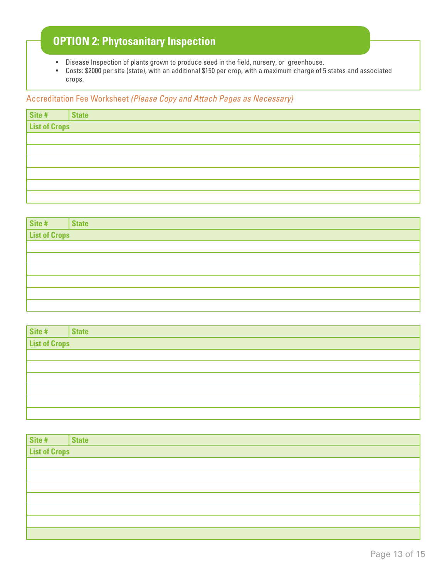### **OPTION 2: Phytosanitary Inspection**

- Disease Inspection of plants grown to produce seed in the field, nursery, or greenhouse.
- Costs: \$2000 per site (state), with an additional \$150 per crop, with a maximum charge of 5 states and associated crops.

#### Accreditation Fee Worksheet *(Please Copy and Attach Pages as Necessary)*

|                           | <b>State</b> |  |
|---------------------------|--------------|--|
| Site # S<br>List of Crops |              |  |
|                           |              |  |
|                           |              |  |
|                           |              |  |
|                           |              |  |
|                           |              |  |
|                           |              |  |

|                           | <b>State</b> |  |
|---------------------------|--------------|--|
| Site # S<br>List of Crops |              |  |
|                           |              |  |
|                           |              |  |
|                           |              |  |
|                           |              |  |
|                           |              |  |
|                           |              |  |

|          | <b>State</b> |
|----------|--------------|
| Site # S |              |
|          |              |
|          |              |
|          |              |
|          |              |
|          |              |
|          |              |

|                           | <b>State</b> |
|---------------------------|--------------|
| Site # S<br>List of Crops |              |
|                           |              |
|                           |              |
|                           |              |
|                           |              |
|                           |              |
|                           |              |
|                           |              |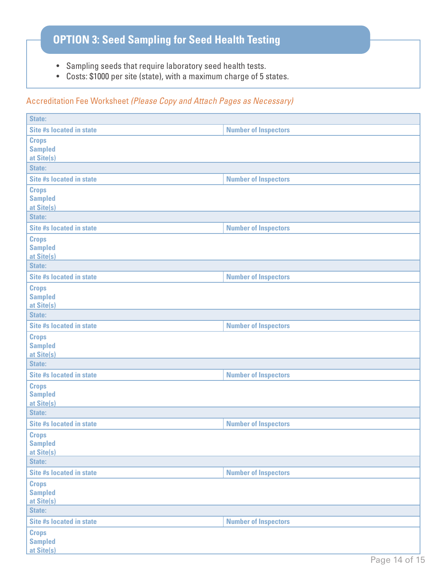## **OPTION 3: Seed Sampling for Seed Health Testing**

- Sampling seeds that require laboratory seed health tests.
- Costs: \$1000 per site (state), with a maximum charge of 5 states.

#### Accreditation Fee Worksheet *(Please Copy and Attach Pages as Necessary)*

| <b>Site #s located in state</b>                        | <b>Number of Inspectors</b> |
|--------------------------------------------------------|-----------------------------|
| <b>Crops</b><br><b>Sampled</b><br>at Site(s)           |                             |
| <b>State:</b>                                          |                             |
| <b>Site #s located in state</b>                        | <b>Number of Inspectors</b> |
| <b>Crops</b><br><b>Sampled</b><br>at Site(s)           |                             |
| State:                                                 |                             |
| <b>Site #s located in state</b>                        | <b>Number of Inspectors</b> |
| <b>Crops</b><br><b>Sampled</b><br>at Site(s)           |                             |
| State:                                                 |                             |
| <b>Site #s located in state</b>                        | <b>Number of Inspectors</b> |
| <b>Crops</b><br><b>Sampled</b><br>at Site(s)           |                             |
| <b>State:</b>                                          |                             |
| <b>Site #s located in state</b>                        | <b>Number of Inspectors</b> |
| <b>Crops</b><br><b>Sampled</b><br>at Site(s)           |                             |
| <b>State:</b>                                          |                             |
| <b>Site #s located in state</b>                        | <b>Number of Inspectors</b> |
| <b>Crops</b><br><b>Sampled</b><br>at Site(s)           |                             |
| <b>State:</b>                                          |                             |
| <b>Site #s located in state</b>                        | <b>Number of Inspectors</b> |
| <b>Crops</b><br><b>Sampled</b><br>at Site(s)<br>State: |                             |
| <b>Site #s located in state</b>                        | <b>Number of Inspectors</b> |
| <b>Crops</b><br><b>Sampled</b><br>at Site(s)<br>State: |                             |
| <b>Site #s located in state</b>                        | <b>Number of Inspectors</b> |
| <b>Crops</b><br><b>Sampled</b><br>at Site(s)           | Page 14 of 15               |